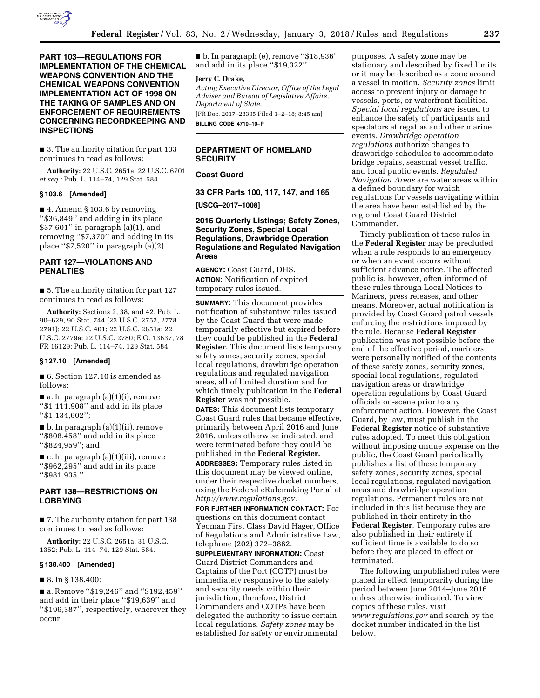

**PART 103—REGULATIONS FOR IMPLEMENTATION OF THE CHEMICAL WEAPONS CONVENTION AND THE CHEMICAL WEAPONS CONVENTION IMPLEMENTATION ACT OF 1998 ON THE TAKING OF SAMPLES AND ON ENFORCEMENT OF REQUIREMENTS CONCERNING RECORDKEEPING AND INSPECTIONS** 

■ 3. The authority citation for part 103 continues to read as follows:

**Authority:** 22 U.S.C. 2651a; 22 U.S.C. 6701 *et seq.;* Pub. L. 114–74, 129 Stat. 584.

#### **§ 103.6 [Amended]**

■ 4. Amend § 103.6 by removing ''\$36,849'' and adding in its place \$37,601'' in paragraph (a)(1), and removing ''\$7,370'' and adding in its place ''\$7,520'' in paragraph (a)(2).

# **PART 127—VIOLATIONS AND PENALTIES**

■ 5. The authority citation for part 127 continues to read as follows:

**Authority:** Sections 2, 38, and 42, Pub. L. 90–629, 90 Stat. 744 (22 U.S.C. 2752, 2778, 2791); 22 U.S.C. 401; 22 U.S.C. 2651a; 22 U.S.C. 2779a; 22 U.S.C. 2780; E.O. 13637, 78 FR 16129; Pub. L. 114–74, 129 Stat. 584.

# **§ 127.10 [Amended]**

■ 6. Section 127.10 is amended as follows:

■ a. In paragraph (a)(1)(i), remove ''\$1,111,908'' and add in its place ''\$1,134,602'';

■ b. In paragraph (a)(1)(ii), remove ''\$808,458'' and add in its place ''\$824,959''; and

■ c. In paragraph (a)(1)(iii), remove ''\$962,295'' and add in its place ''\$981,935.''

# **PART 138—RESTRICTIONS ON LOBBYING**

■ 7. The authority citation for part 138 continues to read as follows:

**Authority:** 22 U.S.C. 2651a; 31 U.S.C. 1352; Pub. L. 114–74, 129 Stat. 584.

#### **§ 138.400 [Amended]**

■ 8. In § 138.400:

■ a. Remove "\$19,246" and "\$192,459" and add in their place ''\$19,639'' and ''\$196,387'', respectively, wherever they occur.

■ b. In paragraph (e), remove "\$18,936" and add in its place ''\$19,322''.

#### **Jerry C. Drake,**

*Acting Executive Director, Office of the Legal Adviser and Bureau of Legislative Affairs, Department of State.* 

[FR Doc. 2017–28395 Filed 1–2–18; 8:45 am] **BILLING CODE 4710–10–P** 

# **DEPARTMENT OF HOMELAND SECURITY**

# **Coast Guard**

**33 CFR Parts 100, 117, 147, and 165** 

**[USCG–2017–1008]** 

# **2016 Quarterly Listings; Safety Zones, Security Zones, Special Local Regulations, Drawbridge Operation Regulations and Regulated Navigation Areas**

**AGENCY:** Coast Guard, DHS. **ACTION:** Notification of expired temporary rules issued.

**SUMMARY:** This document provides notification of substantive rules issued by the Coast Guard that were made temporarily effective but expired before they could be published in the **Federal Register.** This document lists temporary safety zones, security zones, special local regulations, drawbridge operation regulations and regulated navigation areas, all of limited duration and for which timely publication in the **Federal Register** was not possible.

**DATES:** This document lists temporary Coast Guard rules that became effective, primarily between April 2016 and June 2016, unless otherwise indicated, and were terminated before they could be published in the **Federal Register.** 

**ADDRESSES:** Temporary rules listed in this document may be viewed online, under their respective docket numbers, using the Federal eRulemaking Portal at *[http://www.regulations.gov.](http://www.regulations.gov)* 

**FOR FURTHER INFORMATION CONTACT:** For questions on this document contact Yeoman First Class David Hager, Office of Regulations and Administrative Law, telephone (202) 372–3862.

**SUPPLEMENTARY INFORMATION:** Coast Guard District Commanders and Captains of the Port (COTP) must be immediately responsive to the safety and security needs within their jurisdiction; therefore, District Commanders and COTPs have been delegated the authority to issue certain local regulations. *Safety zones* may be established for safety or environmental

purposes. A safety zone may be stationary and described by fixed limits or it may be described as a zone around a vessel in motion. *Security zones* limit access to prevent injury or damage to vessels, ports, or waterfront facilities. *Special local regulations* are issued to enhance the safety of participants and spectators at regattas and other marine events. *Drawbridge operation regulations* authorize changes to drawbridge schedules to accommodate bridge repairs, seasonal vessel traffic, and local public events. *Regulated Navigation Areas* are water areas within a defined boundary for which regulations for vessels navigating within the area have been established by the regional Coast Guard District Commander.

Timely publication of these rules in the **Federal Register** may be precluded when a rule responds to an emergency, or when an event occurs without sufficient advance notice. The affected public is, however, often informed of these rules through Local Notices to Mariners, press releases, and other means. Moreover, actual notification is provided by Coast Guard patrol vessels enforcing the restrictions imposed by the rule. Because **Federal Register**  publication was not possible before the end of the effective period, mariners were personally notified of the contents of these safety zones, security zones, special local regulations, regulated navigation areas or drawbridge operation regulations by Coast Guard officials on-scene prior to any enforcement action. However, the Coast Guard, by law, must publish in the **Federal Register** notice of substantive rules adopted. To meet this obligation without imposing undue expense on the public, the Coast Guard periodically publishes a list of these temporary safety zones, security zones, special local regulations, regulated navigation areas and drawbridge operation regulations. Permanent rules are not included in this list because they are published in their entirety in the **Federal Register**. Temporary rules are also published in their entirety if sufficient time is available to do so before they are placed in effect or terminated.

The following unpublished rules were placed in effect temporarily during the period between June 2014–June 2016 unless otherwise indicated. To view copies of these rules, visit *[www.regulations.gov](http://www.regulations.gov)* and search by the docket number indicated in the list below.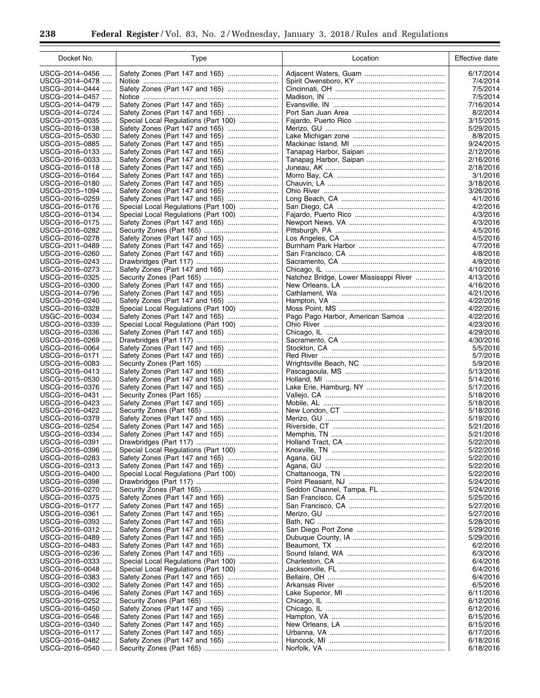۲

| Docket No.                       | Type                                                                    | Location                               | Effective date         |
|----------------------------------|-------------------------------------------------------------------------|----------------------------------------|------------------------|
| USCG-2014-0456                   | Safety Zones (Part 147 and 165)                                         |                                        | 6/17/2014              |
| USCG-2014-0478                   |                                                                         |                                        | 7/4/2014               |
| USCG-2014-0444                   |                                                                         |                                        | 7/5/2014               |
| USCG-2014-0457                   |                                                                         |                                        | 7/5/2014               |
| USCG-2014-0479                   | Safety Zones (Part 147 and 165)                                         |                                        | 7/16/2014              |
| USCG-2014-0724                   |                                                                         |                                        | 8/2/2014               |
| USCG-2015-0035<br>USCG-2016-0138 | Special Local Regulations (Part 100)<br>Safety Zones (Part 147 and 165) |                                        | 3/15/2015<br>5/29/2015 |
| USCG-2015-0530<br>$\cdots$       | Safety Zones (Part 147 and 165)                                         |                                        | 8/8/2015               |
| USCG-2015-0885                   | Safety Zones (Part 147 and 165)                                         |                                        | 9/24/2015              |
| USCG-2016-0133                   |                                                                         |                                        | 2/12/2016              |
| USCG-2016-0033                   | Safety Zones (Part 147 and 165)                                         |                                        | 2/16/2016              |
| USCG-2016-0118                   |                                                                         |                                        | 2/18/2016              |
| USCG-2016-0164                   |                                                                         |                                        | 3/1/2016               |
| USCG-2016-0180                   |                                                                         |                                        | 3/18/2016              |
| USCG-2015-1094<br>USCG-2016-0259 | Safety Zones (Part 147 and 165)                                         |                                        | 3/26/2016<br>4/1/2016  |
| USCG-2016-0176                   | Special Local Regulations (Part 100)                                    |                                        | 4/2/2016               |
| USCG-2016-0134                   | Special Local Regulations (Part 100)                                    |                                        | 4/3/2016               |
| USCG-2016-0175                   | Safety Zones (Part 147 and 165)                                         |                                        | 4/3/2016               |
| USCG-2016-0282<br>$\cdots$       |                                                                         |                                        | 4/5/2016               |
| USCG-2016-0278                   | Safety Zones (Part 147 and 165)                                         |                                        | 4/5/2016               |
| USCG-2011-0489                   | Safety Zones (Part 147 and 165)                                         |                                        | 4/7/2016               |
| USCG-2016-0260                   | Safety Zones (Part 147 and 165)                                         |                                        | 4/8/2016<br>4/9/2016   |
| USCG-2016-0243<br>USCG-2016-0273 | Safety Zones (Part 147 and 165)                                         |                                        | 4/10/2016              |
| USCG-2016-0325                   |                                                                         | Natchez Bridge, Lower Mississppi River | 4/13/2016              |
| USCG-2016-0300                   |                                                                         |                                        | 4/16/2016              |
| USCG-2014-0796                   |                                                                         |                                        | 4/21/2016              |
| USCG-2016-0240                   |                                                                         |                                        | 4/22/2016              |
| USCG-2016-0328                   | Special Local Regulations (Part 100)                                    |                                        | 4/22/2016              |
| USGC-2016-0034                   | Safety Zones (Part 147 and 165)                                         | Pago Pago Harbor, American Samoa       | 4/22/2016              |
| USCG-2016-0339                   | Special Local Regulations (Part 100)                                    |                                        | 4/23/2016              |
| USCG-2016-0336<br>USCG-2016-0269 | Safety Zones (Part 147 and 165)                                         |                                        | 4/29/2016<br>4/30/2016 |
| USCG-2016-0064                   | Safety Zones (Part 147 and 165)                                         |                                        | 5/5/2016               |
| USCG-2016-0171                   | Safety Zones (Part 147 and 165)                                         |                                        | 5/7/2016               |
| USCG-2016-0083                   |                                                                         |                                        | 5/9/2016               |
| USCG-2016-0413                   |                                                                         |                                        | 5/13/2016              |
| USCG-2015-0530                   |                                                                         |                                        | 5/14/2016              |
| USCG-2016-0376<br>USCG-2016-0431 |                                                                         |                                        | 5/17/2016<br>5/18/2016 |
| USCG-2016-0423                   | Safety Zones (Part 147 and 165)                                         |                                        | 5/18/2016              |
| USCG-2016-0422                   |                                                                         |                                        | 5/18/2016              |
| USCG-2016-0379                   |                                                                         |                                        | 5/19/2016              |
| USCG-2016-0254                   |                                                                         |                                        | 5/21/2016              |
| USCG-2016-0334                   |                                                                         |                                        | 5/21/2016              |
| USCG-2016-0391                   |                                                                         |                                        | 5/22/2016              |
| USCG-2016-0396<br>USCG-2016-0283 | Special Local Regulations (Part 100)                                    |                                        | 5/22/2016<br>5/22/2016 |
| USCG-2016-0313                   |                                                                         |                                        | 5/22/2016              |
| USCG-2016-0400                   | Special Local Regulations (Part 100)                                    |                                        | 5/22/2016              |
| USCG-2016-0398                   |                                                                         |                                        | 5/24/2016              |
| USCG-2016-0270<br>$\cdots$       |                                                                         |                                        | 5/24/2016              |
| USCG-2016-0375                   |                                                                         |                                        | 5/25/2016              |
| USCG-2016-0177                   |                                                                         |                                        | 5/27/2016              |
| USCG-2016-0361                   | Safety Zones (Part 147 and 165)                                         |                                        | 5/27/2016              |
| USCG-2016-0393                   |                                                                         |                                        | 5/28/2016              |
| USCG-2016-0312<br>USCG-2016-0489 | Safety Zones (Part 147 and 165)                                         |                                        | 5/29/2016<br>5/29/2016 |
| USCG-2016-0483                   | Safety Zones (Part 147 and 165)                                         |                                        | 6/2/2016               |
| USCG-2016-0236                   |                                                                         |                                        | 6/3/2016               |
| USCG-2016-0333                   | Special Local Regulations (Part 100)                                    |                                        | 6/4/2016               |
| USCG-2016-0048<br>$\cdots$       | Special Local Regulations (Part 100)                                    |                                        | 6/4/2016               |
| USCG-2016-0383                   | Safety Zones (Part 147 and 165)                                         |                                        | 6/4/2016               |
| USCG-2016-0302                   |                                                                         |                                        | 6/5/2016               |
| USCG-2016-0496                   |                                                                         |                                        | 6/11/2016              |
| USCG-2016-0252<br>USCG-2016-0450 |                                                                         |                                        | 6/12/2016<br>6/12/2016 |
| USCG-2016-0546                   |                                                                         |                                        | 6/15/2016              |
| USCG-2016-0340                   | Safety Zones (Part 147 and 165)                                         |                                        | 6/15/2016              |
| USCG-2016-0117                   |                                                                         |                                        | 6/17/2016              |
| USCG-2016-0482                   |                                                                         |                                        | 6/18/2016              |
| USCG-2016-0540                   |                                                                         |                                        | 6/18/2016              |